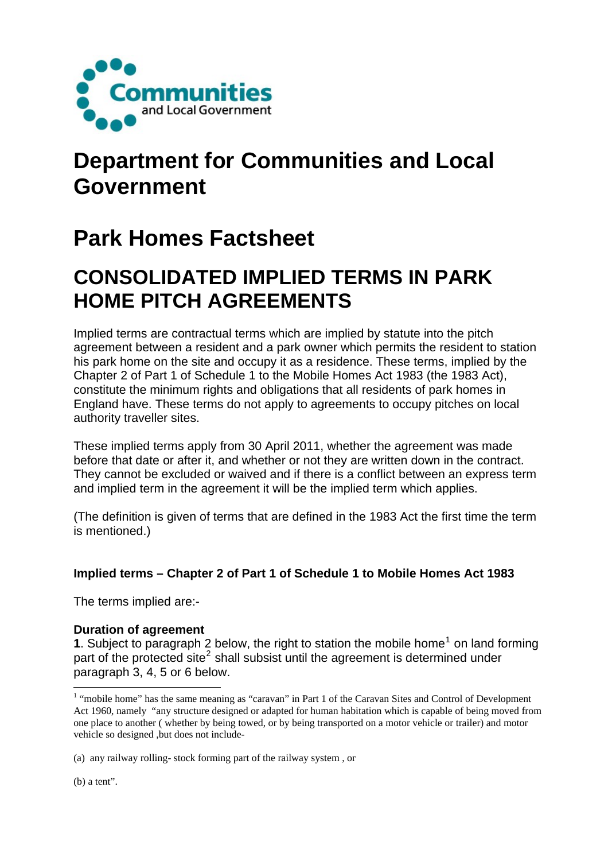

# **Department for Communities and Local Government**

## **Park Homes Factsheet**

## **CONSOLIDATED IMPLIED TERMS IN PARK HOME PITCH AGREEMENTS**

Implied terms are contractual terms which are implied by statute into the pitch agreement between a resident and a park owner which permits the resident to station his park home on the site and occupy it as a residence. These terms, implied by the Chapter 2 of Part 1 of Schedule 1 to the Mobile Homes Act 1983 (the 1983 Act), constitute the minimum rights and obligations that all residents of park homes in England have. These terms do not apply to agreements to occupy pitches on local authority traveller sites.

These implied terms apply from 30 April 2011, whether the agreement was made before that date or after it, and whether or not they are written down in the contract. They cannot be excluded or waived and if there is a conflict between an express term and implied term in the agreement it will be the implied term which applies.

<span id="page-0-1"></span>(The definition is given of terms that are defined in the 1983 Act the first time the term is mentioned.)

## **Implied terms – Chapter 2 of Part 1 of Schedule 1 to Mobile Homes Act 1983**

The terms implied are:-

## **Duration of agreement**

**[1](#page-0-0)**. Subject to paragraph 2 below, the right to station the mobile home<sup>1</sup> on land forming part of the protected site<sup>[2](#page-0-1)</sup> shall subsist until the agreement is determined under paragraph 3, 4, 5 or 6 below.

(b) a tent".

 $\overline{a}$ 

<span id="page-0-0"></span><sup>&</sup>lt;sup>1</sup> "mobile home" has the same meaning as "caravan" in Part 1 of the Caravan Sites and Control of Development Act 1960, namely "any structure designed or adapted for human habitation which is capable of being moved from one place to another ( whether by being towed, or by being transported on a motor vehicle or trailer) and motor vehicle so designed ,but does not include-

<sup>(</sup>a) any railway rolling- stock forming part of the railway system , or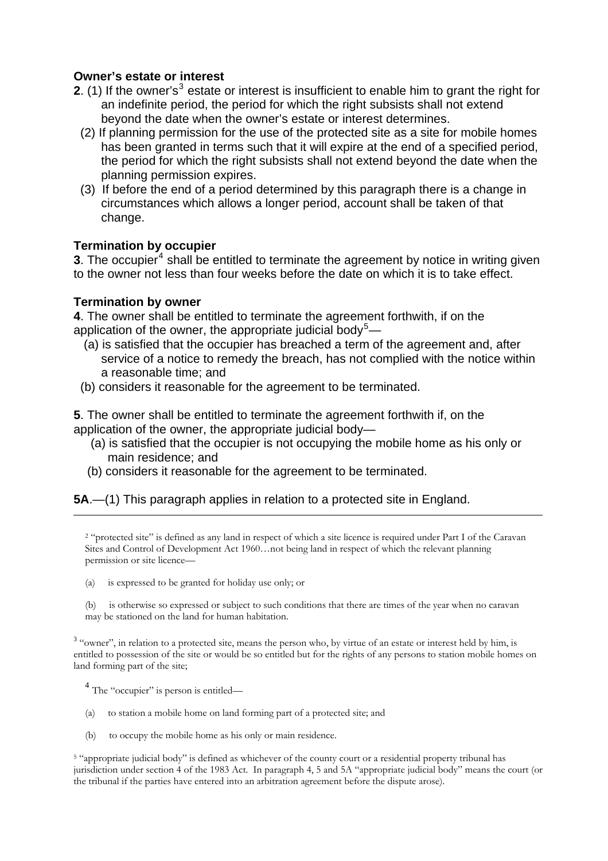## **Owner's estate or interest**

- **2**. (1) If the owner's<sup>[3](#page-1-0)</sup> estate or interest is insufficient to enable him to grant the right for an indefinite period, the period for which the right subsists shall not extend beyond the date when the owner's estate or interest determines.
- (2) If planning permission for the use of the protected site as a site for mobile homes has been granted in terms such that it will expire at the end of a specified period, the period for which the right subsists shall not extend beyond the date when the planning permission expires.
- (3) If before the end of a period determined by this paragraph there is a change in circumstances which allows a longer period, account shall be taken of that change.

## **Termination by occupier**

**3**. The occupier<sup>[4](#page-1-1)</sup> shall be entitled to terminate the agreement by notice in writing given to the owner not less than four weeks before the date on which it is to take effect.

### **Termination by owner**

 $\overline{a}$ 

**4**. The owner shall be entitled to terminate the agreement forthwith, if on the application of the owner, the appropriate judicial body<sup>[5](#page-1-2)</sup>—

- (a) is satisfied that the occupier has breached a term of the agreement and, after service of a notice to remedy the breach, has not complied with the notice within a reasonable time; and
- (b) considers it reasonable for the agreement to be terminated.

**5**. The owner shall be entitled to terminate the agreement forthwith if, on the application of the owner, the appropriate judicial body—

- (a) is satisfied that the occupier is not occupying the mobile home as his only or main residence; and
- (b) considers it reasonable for the agreement to be terminated.

**5A**.—(1) This paragraph applies in relation to a protected site in England.

<sup>2</sup> "protected site" is defined as any land in respect of which a site licence is required under [Part I](http://www.lexisnexis.com/uk/legal/search/runRemoteLink.do?langcountry=GB&linkInfo=F%23GB%23UK_ACTS%23part%25I%25num%251960_62a%25&risb=21_T12151263703&bct=A&service=citation&A=0.8034847447492002) of the Caravan Sites and Control of Development Act 1960…not being land in respect of which the relevant planning permission or site licence—

(a) is expressed to be granted for holiday use only; or

(b) is otherwise so expressed or subject to such conditions that there are times of the year when no caravan may be stationed on the land for human habitation.

<span id="page-1-0"></span><sup>3</sup> "owner", in relation to a protected site, means the person who, by virtue of an estate or interest held by him, is entitled to possession of the site or would be so entitled but for the rights of any persons to station mobile homes on land forming part of the site;

<span id="page-1-1"></span><sup>4</sup> The "occupier" is person is entitled—

- (a) to station a mobile home on land forming part of a protected site; and
- (b) to occupy the mobile home as his only or main residence.

<span id="page-1-2"></span>5 "appropriate judicial body" is defined as whichever of the county court or a residential property tribunal has jurisdiction under section 4 of the 1983 Act. In paragraph 4, 5 and 5A "appropriate judicial body" means the court (or the tribunal if the parties have entered into an arbitration agreement before the dispute arose).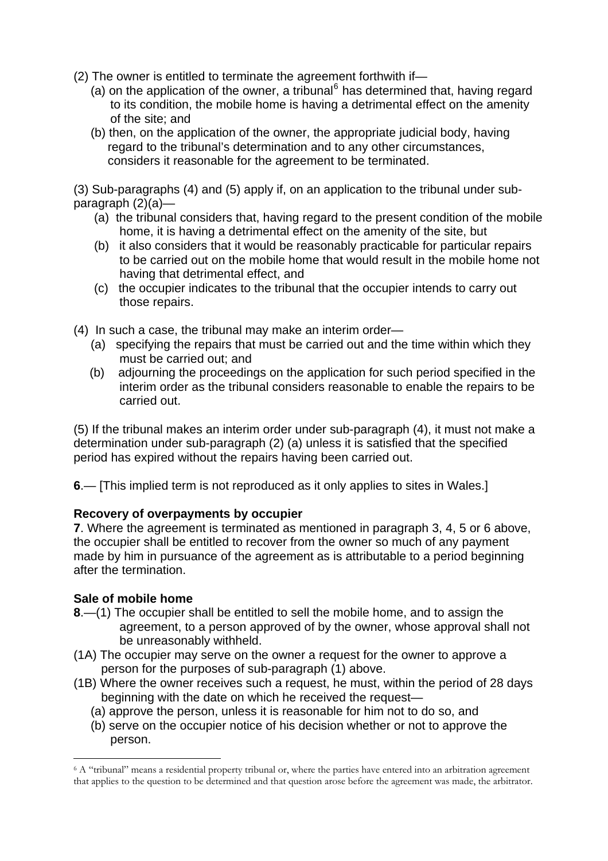- (2) The owner is entitled to terminate the agreement forthwith if—
- $($ a) on the application of the owner, a tribunal<sup>[6](#page-2-0)</sup> has determined that, having regard to its condition, the mobile home is having a detrimental effect on the amenity of the site; and
	- (b) then, on the application of the owner, the appropriate judicial body, having regard to the tribunal's determination and to any other circumstances, considers it reasonable for the agreement to be terminated.

(3) Sub-paragraphs (4) and (5) apply if, on an application to the tribunal under subparagraph (2)(a)—

- (a) the tribunal considers that, having regard to the present condition of the mobile home, it is having a detrimental effect on the amenity of the site, but
- (b) it also considers that it would be reasonably practicable for particular repairs to be carried out on the mobile home that would result in the mobile home not having that detrimental effect, and
- (c) the occupier indicates to the tribunal that the occupier intends to carry out those repairs.

(4) In such a case, the tribunal may make an interim order—

- (a) specifying the repairs that must be carried out and the time within which they must be carried out; and
- (b) adjourning the proceedings on the application for such period specified in the interim order as the tribunal considers reasonable to enable the repairs to be carried out.

(5) If the tribunal makes an interim order under sub-paragraph (4), it must not make a determination under sub-paragraph (2) (a) unless it is satisfied that the specified period has expired without the repairs having been carried out.

**6**.— [This implied term is not reproduced as it only applies to sites in Wales.]

## **Recovery of overpayments by occupier**

**7**. Where the agreement is terminated as mentioned in paragraph 3, 4, 5 or 6 above, the occupier shall be entitled to recover from the owner so much of any payment made by him in pursuance of the agreement as is attributable to a period beginning after the termination.

### **Sale of mobile home**

 $\overline{a}$ 

- **8**.—(1) The occupier shall be entitled to sell the mobile home, and to assign the agreement, to a person approved of by the owner, whose approval shall not be unreasonably withheld.
- (1A) The occupier may serve on the owner a request for the owner to approve a person for the purposes of sub-paragraph (1) above.
- (1B) Where the owner receives such a request, he must, within the period of 28 days beginning with the date on which he received the request—
	- (a) approve the person, unless it is reasonable for him not to do so, and
	- (b) serve on the occupier notice of his decision whether or not to approve the person.

<span id="page-2-0"></span><sup>6</sup> A "tribunal" means a residential property tribunal or, where the parties have entered into an arbitration agreement that applies to the question to be determined and that question arose before the agreement was made, the arbitrator.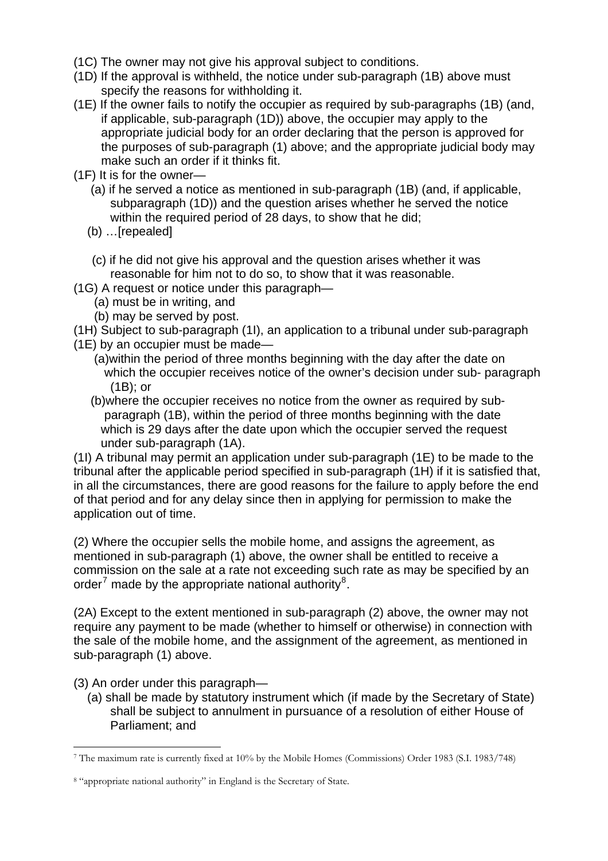- (1C) The owner may not give his approval subject to conditions.
- (1D) If the approval is withheld, the notice under sub-paragraph (1B) above must specify the reasons for withholding it.
- (1E) If the owner fails to notify the occupier as required by sub-paragraphs (1B) (and, if applicable, sub-paragraph (1D)) above, the occupier may apply to the appropriate judicial body for an order declaring that the person is approved for the purposes of sub-paragraph (1) above; and the appropriate judicial body may make such an order if it thinks fit.
- (1F) It is for the owner—
	- (a) if he served a notice as mentioned in sub-paragraph (1B) (and, if applicable, subparagraph (1D)) and the question arises whether he served the notice within the required period of 28 days, to show that he did;
	- (b) …[repealed]
	- (c) if he did not give his approval and the question arises whether it was reasonable for him not to do so, to show that it was reasonable.
- (1G) A request or notice under this paragraph—
	- (a) must be in writing, and
	- (b) may be served by post.
- (1H) Subject to sub-paragraph (1I), an application to a tribunal under sub-paragraph (1E) by an occupier must be made—
	- (a)within the period of three months beginning with the day after the date on which the occupier receives notice of the owner's decision under sub- paragraph (1B); or
	- (b)where the occupier receives no notice from the owner as required by sub paragraph (1B), within the period of three months beginning with the date which is 29 days after the date upon which the occupier served the request under sub-paragraph (1A).

(1I) A tribunal may permit an application under sub-paragraph (1E) to be made to the tribunal after the applicable period specified in sub-paragraph (1H) if it is satisfied that, in all the circumstances, there are good reasons for the failure to apply before the end of that period and for any delay since then in applying for permission to make the application out of time.

(2) Where the occupier sells the mobile home, and assigns the agreement, as mentioned in sub-paragraph (1) above, the owner shall be entitled to receive a commission on the sale at a rate not exceeding such rate as may be specified by an order<sup>[7](#page-3-0)</sup> made by the appropriate national authority<sup>[8](#page-3-1)</sup>.

(2A) Except to the extent mentioned in sub-paragraph (2) above, the owner may not require any payment to be made (whether to himself or otherwise) in connection with the sale of the mobile home, and the assignment of the agreement, as mentioned in sub-paragraph (1) above.

## (3) An order under this paragraph—

 $\overline{a}$ 

 (a) shall be made by statutory instrument which (if made by the Secretary of State) shall be subject to annulment in pursuance of a resolution of either House of Parliament; and

<span id="page-3-0"></span><sup>7</sup> The maximum rate is currently fixed at 10% by the Mobile Homes (Commissions) Order 1983 (S.I. 1983/748)

<span id="page-3-1"></span><sup>8 &</sup>quot;appropriate national authority" in England is the Secretary of State.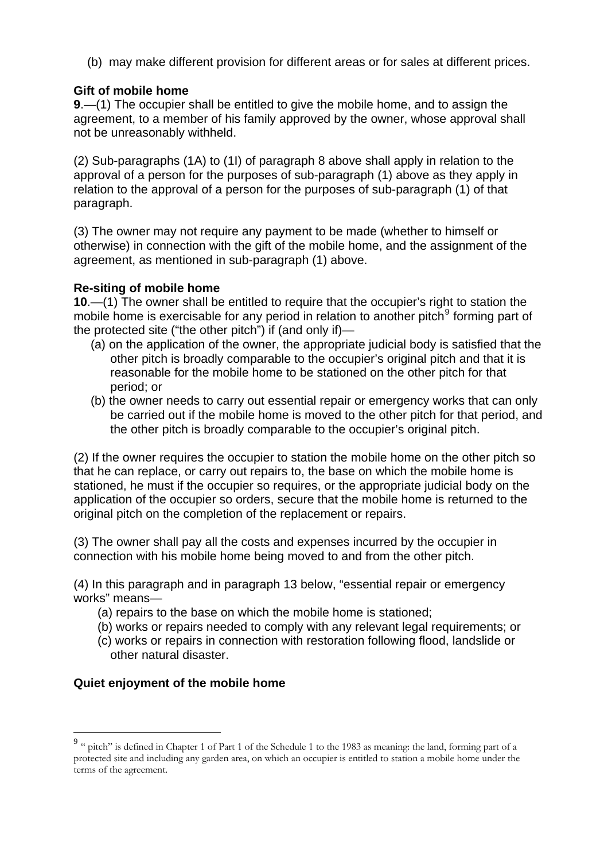(b) may make different provision for different areas or for sales at different prices.

#### **Gift of mobile home**

**9**.—(1) The occupier shall be entitled to give the mobile home, and to assign the agreement, to a member of his family approved by the owner, whose approval shall not be unreasonably withheld.

(2) Sub-paragraphs (1A) to (1I) of paragraph 8 above shall apply in relation to the approval of a person for the purposes of sub-paragraph (1) above as they apply in relation to the approval of a person for the purposes of sub-paragraph (1) of that paragraph.

(3) The owner may not require any payment to be made (whether to himself or otherwise) in connection with the gift of the mobile home, and the assignment of the agreement, as mentioned in sub-paragraph (1) above.

### **Re-siting of mobile home**

**10**.—(1) The owner shall be entitled to require that the occupier's right to station the mobile home is exercisable for any period in relation to another pitch<sup>[9](#page-4-0)</sup> forming part of the protected site ("the other pitch") if (and only if)—

- (a) on the application of the owner, the appropriate judicial body is satisfied that the other pitch is broadly comparable to the occupier's original pitch and that it is reasonable for the mobile home to be stationed on the other pitch for that period; or
- (b) the owner needs to carry out essential repair or emergency works that can only be carried out if the mobile home is moved to the other pitch for that period, and the other pitch is broadly comparable to the occupier's original pitch.

(2) If the owner requires the occupier to station the mobile home on the other pitch so that he can replace, or carry out repairs to, the base on which the mobile home is stationed, he must if the occupier so requires, or the appropriate judicial body on the application of the occupier so orders, secure that the mobile home is returned to the original pitch on the completion of the replacement or repairs.

(3) The owner shall pay all the costs and expenses incurred by the occupier in connection with his mobile home being moved to and from the other pitch.

(4) In this paragraph and in paragraph 13 below, "essential repair or emergency works" means—

- (a) repairs to the base on which the mobile home is stationed;
- (b) works or repairs needed to comply with any relevant legal requirements; or
- (c) works or repairs in connection with restoration following flood, landslide or other natural disaster.

### **Quiet enjoyment of the mobile home**

 $\overline{a}$ 

<span id="page-4-0"></span> $9$  " pitch" is defined in Chapter 1 of Part 1 of the Schedule 1 to the 1983 as meaning: the land, forming part of a protected site and including any garden area, on which an occupier is entitled to station a mobile home under the terms of the agreement.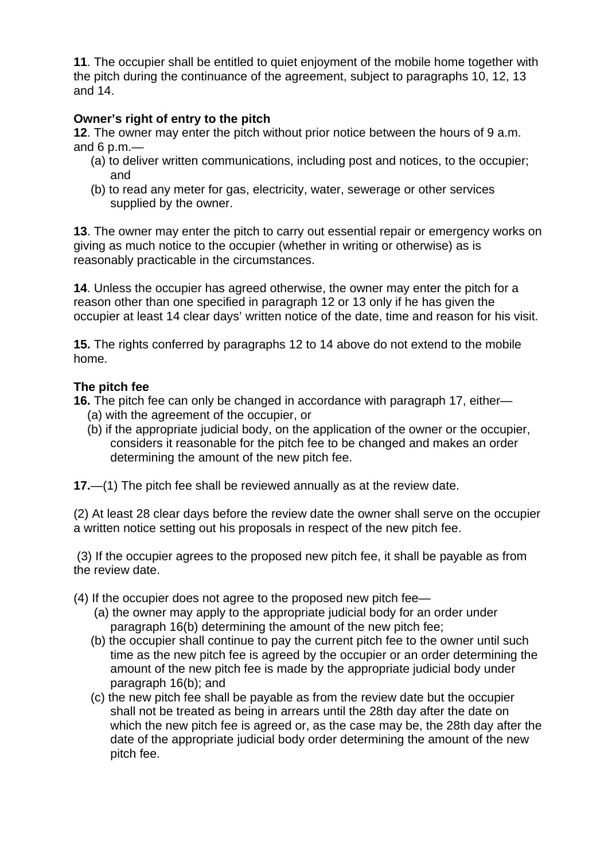**11**. The occupier shall be entitled to quiet enjoyment of the mobile home together with the pitch during the continuance of the agreement, subject to paragraphs 10, 12, 13 and 14.

## **Owner's right of entry to the pitch**

**12**. The owner may enter the pitch without prior notice between the hours of 9 a.m. and  $6$  p.m.-

- (a) to deliver written communications, including post and notices, to the occupier; and
- (b) to read any meter for gas, electricity, water, sewerage or other services supplied by the owner.

**13**. The owner may enter the pitch to carry out essential repair or emergency works on giving as much notice to the occupier (whether in writing or otherwise) as is reasonably practicable in the circumstances.

**14**. Unless the occupier has agreed otherwise, the owner may enter the pitch for a reason other than one specified in paragraph 12 or 13 only if he has given the occupier at least 14 clear days' written notice of the date, time and reason for his visit.

**15.** The rights conferred by paragraphs 12 to 14 above do not extend to the mobile home.

### **The pitch fee**

**16.** The pitch fee can only be changed in accordance with paragraph 17, either—

- (a) with the agreement of the occupier, or
- (b) if the appropriate judicial body, on the application of the owner or the occupier, considers it reasonable for the pitch fee to be changed and makes an order determining the amount of the new pitch fee.

**17.**—(1) The pitch fee shall be reviewed annually as at the review date.

(2) At least 28 clear days before the review date the owner shall serve on the occupier a written notice setting out his proposals in respect of the new pitch fee.

 (3) If the occupier agrees to the proposed new pitch fee, it shall be payable as from the review date.

- (4) If the occupier does not agree to the proposed new pitch fee—
	- (a) the owner may apply to the appropriate judicial body for an order under paragraph 16(b) determining the amount of the new pitch fee;
	- (b) the occupier shall continue to pay the current pitch fee to the owner until such time as the new pitch fee is agreed by the occupier or an order determining the amount of the new pitch fee is made by the appropriate judicial body under paragraph 16(b); and
	- (c) the new pitch fee shall be payable as from the review date but the occupier shall not be treated as being in arrears until the 28th day after the date on which the new pitch fee is agreed or, as the case may be, the 28th day after the date of the appropriate judicial body order determining the amount of the new pitch fee.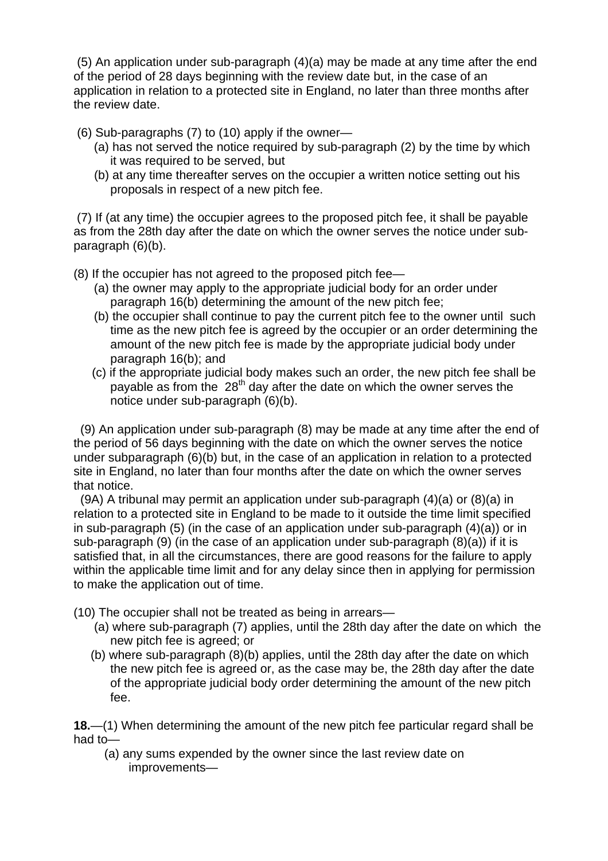(5) An application under sub-paragraph (4)(a) may be made at any time after the end of the period of 28 days beginning with the review date but, in the case of an application in relation to a protected site in England, no later than three months after the review date.

- (6) Sub-paragraphs (7) to (10) apply if the owner—
	- (a) has not served the notice required by sub-paragraph (2) by the time by which it was required to be served, but
	- (b) at any time thereafter serves on the occupier a written notice setting out his proposals in respect of a new pitch fee.

 (7) If (at any time) the occupier agrees to the proposed pitch fee, it shall be payable as from the 28th day after the date on which the owner serves the notice under subparagraph (6)(b).

(8) If the occupier has not agreed to the proposed pitch fee—

- (a) the owner may apply to the appropriate judicial body for an order under paragraph 16(b) determining the amount of the new pitch fee;
- (b) the occupier shall continue to pay the current pitch fee to the owner until such time as the new pitch fee is agreed by the occupier or an order determining the amount of the new pitch fee is made by the appropriate judicial body under paragraph 16(b); and
- (c) if the appropriate judicial body makes such an order, the new pitch fee shall be payable as from the  $28<sup>th</sup>$  day after the date on which the owner serves the notice under sub-paragraph (6)(b).

 (9) An application under sub-paragraph (8) may be made at any time after the end of the period of 56 days beginning with the date on which the owner serves the notice under subparagraph (6)(b) but, in the case of an application in relation to a protected site in England, no later than four months after the date on which the owner serves that notice.

 (9A) A tribunal may permit an application under sub-paragraph (4)(a) or (8)(a) in relation to a protected site in England to be made to it outside the time limit specified in sub-paragraph (5) (in the case of an application under sub-paragraph (4)(a)) or in sub-paragraph (9) (in the case of an application under sub-paragraph (8)(a)) if it is satisfied that, in all the circumstances, there are good reasons for the failure to apply within the applicable time limit and for any delay since then in applying for permission to make the application out of time.

(10) The occupier shall not be treated as being in arrears—

- (a) where sub-paragraph (7) applies, until the 28th day after the date on which the new pitch fee is agreed; or
- (b) where sub-paragraph (8)(b) applies, until the 28th day after the date on which the new pitch fee is agreed or, as the case may be, the 28th day after the date of the appropriate judicial body order determining the amount of the new pitch fee.

**18.**—(1) When determining the amount of the new pitch fee particular regard shall be had to—

 (a) any sums expended by the owner since the last review date on improvements—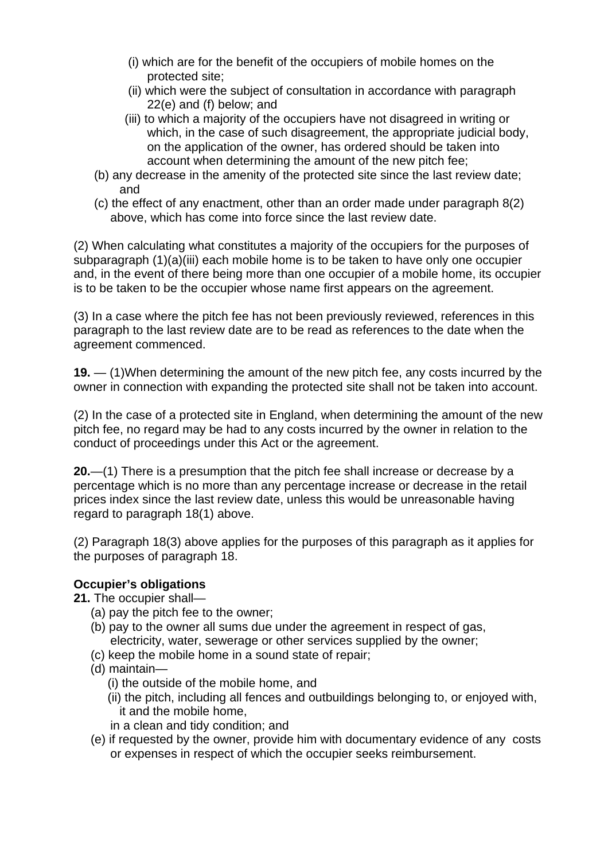- (i) which are for the benefit of the occupiers of mobile homes on the protected site;
- (ii) which were the subject of consultation in accordance with paragraph 22(e) and (f) below; and
- (iii) to which a majority of the occupiers have not disagreed in writing or which, in the case of such disagreement, the appropriate judicial body, on the application of the owner, has ordered should be taken into account when determining the amount of the new pitch fee;
- (b) any decrease in the amenity of the protected site since the last review date; and
- (c) the effect of any enactment, other than an order made under paragraph 8(2) above, which has come into force since the last review date.

(2) When calculating what constitutes a majority of the occupiers for the purposes of subparagraph (1)(a)(iii) each mobile home is to be taken to have only one occupier and, in the event of there being more than one occupier of a mobile home, its occupier is to be taken to be the occupier whose name first appears on the agreement.

(3) In a case where the pitch fee has not been previously reviewed, references in this paragraph to the last review date are to be read as references to the date when the agreement commenced.

**19.** — (1)When determining the amount of the new pitch fee, any costs incurred by the owner in connection with expanding the protected site shall not be taken into account.

(2) In the case of a protected site in England, when determining the amount of the new pitch fee, no regard may be had to any costs incurred by the owner in relation to the conduct of proceedings under this Act or the agreement.

**20.**—(1) There is a presumption that the pitch fee shall increase or decrease by a percentage which is no more than any percentage increase or decrease in the retail prices index since the last review date, unless this would be unreasonable having regard to paragraph 18(1) above.

(2) Paragraph 18(3) above applies for the purposes of this paragraph as it applies for the purposes of paragraph 18.

## **Occupier's obligations**

**21.** The occupier shall—

- (a) pay the pitch fee to the owner;
- (b) pay to the owner all sums due under the agreement in respect of gas, electricity, water, sewerage or other services supplied by the owner;
- (c) keep the mobile home in a sound state of repair;
- (d) maintain—
	- (i) the outside of the mobile home, and
	- (ii) the pitch, including all fences and outbuildings belonging to, or enjoyed with, it and the mobile home,
	- in a clean and tidy condition; and
- (e) if requested by the owner, provide him with documentary evidence of any costs or expenses in respect of which the occupier seeks reimbursement.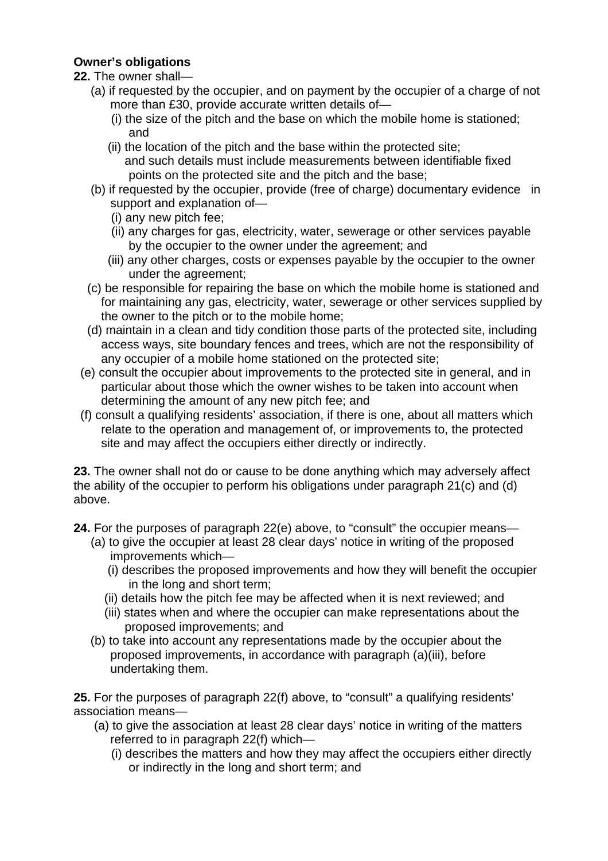## **Owner's obligations**

## **22.** The owner shall—

- (a) if requested by the occupier, and on payment by the occupier of a charge of not more than £30, provide accurate written details of—
	- (i) the size of the pitch and the base on which the mobile home is stationed; and
	- (ii) the location of the pitch and the base within the protected site; and such details must include measurements between identifiable fixed points on the protected site and the pitch and the base;
- (b) if requested by the occupier, provide (free of charge) documentary evidence in support and explanation of—
	- (i) any new pitch fee;
	- (ii) any charges for gas, electricity, water, sewerage or other services payable by the occupier to the owner under the agreement; and
	- (iii) any other charges, costs or expenses payable by the occupier to the owner under the agreement;
- (c) be responsible for repairing the base on which the mobile home is stationed and for maintaining any gas, electricity, water, sewerage or other services supplied by the owner to the pitch or to the mobile home;
- (d) maintain in a clean and tidy condition those parts of the protected site, including access ways, site boundary fences and trees, which are not the responsibility of any occupier of a mobile home stationed on the protected site;
- (e) consult the occupier about improvements to the protected site in general, and in particular about those which the owner wishes to be taken into account when determining the amount of any new pitch fee; and
- (f) consult a qualifying residents' association, if there is one, about all matters which relate to the operation and management of, or improvements to, the protected site and may affect the occupiers either directly or indirectly.

**23.** The owner shall not do or cause to be done anything which may adversely affect the ability of the occupier to perform his obligations under paragraph 21(c) and (d) above.

- **24.** For the purposes of paragraph 22(e) above, to "consult" the occupier means—
	- (a) to give the occupier at least 28 clear days' notice in writing of the proposed improvements which—
		- (i) describes the proposed improvements and how they will benefit the occupier in the long and short term;
		- (ii) details how the pitch fee may be affected when it is next reviewed; and
		- (iii) states when and where the occupier can make representations about the proposed improvements; and
	- (b) to take into account any representations made by the occupier about the proposed improvements, in accordance with paragraph (a)(iii), before undertaking them.

**25.** For the purposes of paragraph 22(f) above, to "consult" a qualifying residents' association means—

- (a) to give the association at least 28 clear days' notice in writing of the matters referred to in paragraph 22(f) which—
	- (i) describes the matters and how they may affect the occupiers either directly or indirectly in the long and short term; and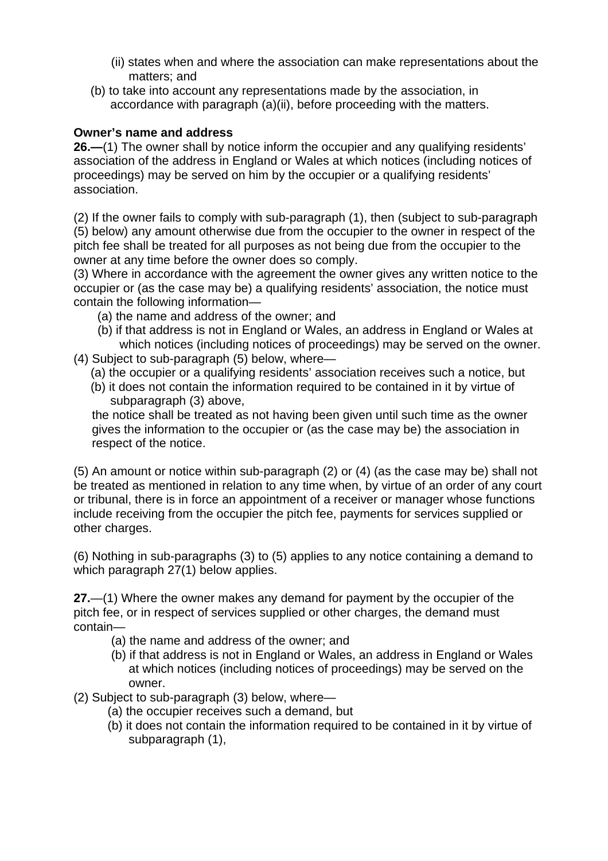- (ii) states when and where the association can make representations about the matters; and
- (b) to take into account any representations made by the association, in accordance with paragraph (a)(ii), before proceeding with the matters.

## **Owner's name and address**

**26.—**(1) The owner shall by notice inform the occupier and any qualifying residents' association of the address in England or Wales at which notices (including notices of proceedings) may be served on him by the occupier or a qualifying residents' association.

(2) If the owner fails to comply with sub-paragraph (1), then (subject to sub-paragraph (5) below) any amount otherwise due from the occupier to the owner in respect of the pitch fee shall be treated for all purposes as not being due from the occupier to the owner at any time before the owner does so comply.

(3) Where in accordance with the agreement the owner gives any written notice to the occupier or (as the case may be) a qualifying residents' association, the notice must contain the following information—

- (a) the name and address of the owner; and
- (b) if that address is not in England or Wales, an address in England or Wales at which notices (including notices of proceedings) may be served on the owner.
- (4) Subject to sub-paragraph (5) below, where—
	- (a) the occupier or a qualifying residents' association receives such a notice, but
	- (b) it does not contain the information required to be contained in it by virtue of subparagraph (3) above,

the notice shall be treated as not having been given until such time as the owner gives the information to the occupier or (as the case may be) the association in respect of the notice.

(5) An amount or notice within sub-paragraph (2) or (4) (as the case may be) shall not be treated as mentioned in relation to any time when, by virtue of an order of any court or tribunal, there is in force an appointment of a receiver or manager whose functions include receiving from the occupier the pitch fee, payments for services supplied or other charges.

(6) Nothing in sub-paragraphs (3) to (5) applies to any notice containing a demand to which paragraph 27(1) below applies.

**27.**—(1) Where the owner makes any demand for payment by the occupier of the pitch fee, or in respect of services supplied or other charges, the demand must contain—

- (a) the name and address of the owner; and
- (b) if that address is not in England or Wales, an address in England or Wales at which notices (including notices of proceedings) may be served on the owner.
- (2) Subject to sub-paragraph (3) below, where—
	- (a) the occupier receives such a demand, but
	- (b) it does not contain the information required to be contained in it by virtue of subparagraph (1),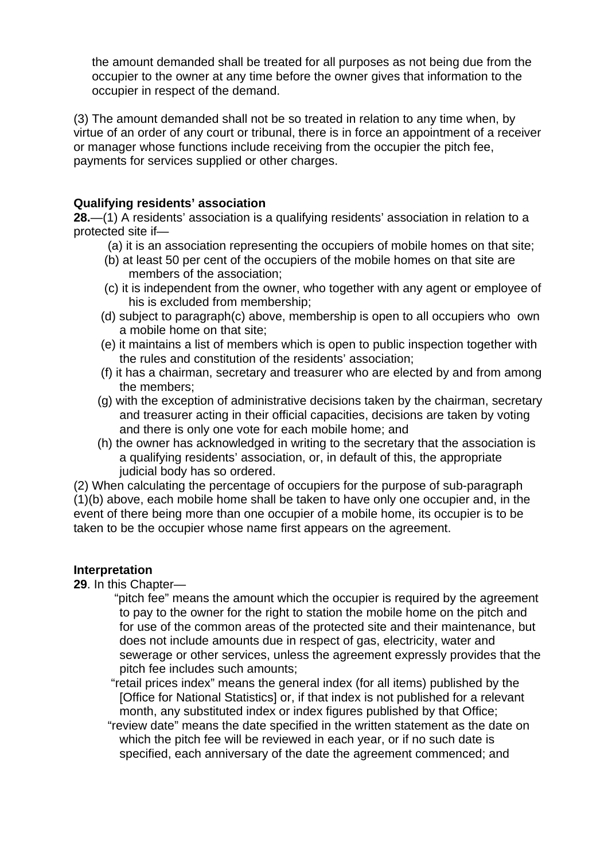the amount demanded shall be treated for all purposes as not being due from the occupier to the owner at any time before the owner gives that information to the occupier in respect of the demand.

(3) The amount demanded shall not be so treated in relation to any time when, by virtue of an order of any court or tribunal, there is in force an appointment of a receiver or manager whose functions include receiving from the occupier the pitch fee, payments for services supplied or other charges.

## **Qualifying residents' association**

**28.**—(1) A residents' association is a qualifying residents' association in relation to a protected site if—

- (a) it is an association representing the occupiers of mobile homes on that site;
- (b) at least 50 per cent of the occupiers of the mobile homes on that site are members of the association;
- (c) it is independent from the owner, who together with any agent or employee of his is excluded from membership;
- (d) subject to paragraph(c) above, membership is open to all occupiers who own a mobile home on that site;
- (e) it maintains a list of members which is open to public inspection together with the rules and constitution of the residents' association;
- (f) it has a chairman, secretary and treasurer who are elected by and from among the members;
- (g) with the exception of administrative decisions taken by the chairman, secretary and treasurer acting in their official capacities, decisions are taken by voting and there is only one vote for each mobile home; and
- (h) the owner has acknowledged in writing to the secretary that the association is a qualifying residents' association, or, in default of this, the appropriate judicial body has so ordered.

(2) When calculating the percentage of occupiers for the purpose of sub-paragraph (1)(b) above, each mobile home shall be taken to have only one occupier and, in the event of there being more than one occupier of a mobile home, its occupier is to be taken to be the occupier whose name first appears on the agreement.

### **Interpretation**

**29**. In this Chapter—

- "pitch fee" means the amount which the occupier is required by the agreement to pay to the owner for the right to station the mobile home on the pitch and for use of the common areas of the protected site and their maintenance, but does not include amounts due in respect of gas, electricity, water and sewerage or other services, unless the agreement expressly provides that the pitch fee includes such amounts;
- "retail prices index" means the general index (for all items) published by the [Office for National Statistics] or, if that index is not published for a relevant month, any substituted index or index figures published by that Office;
- "review date" means the date specified in the written statement as the date on which the pitch fee will be reviewed in each year, or if no such date is specified, each anniversary of the date the agreement commenced; and